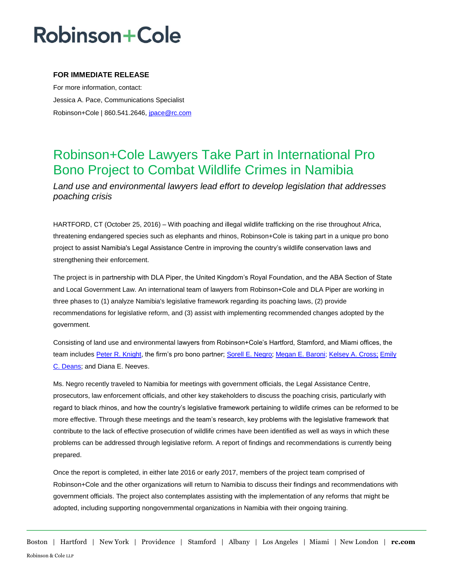## **Robinson+Cole**

### **FOR IMMEDIATE RELEASE**

For more information, contact: Jessica A. Pace, Communications Specialist Robinson+Cole | 860.541.2646, [jpace@rc.com](mailto:jpace@rc.com)

### Robinson+Cole Lawyers Take Part in International Pro Bono Project to Combat Wildlife Crimes in Namibia

*Land use and environmental lawyers lead effort to develop legislation that addresses poaching crisis*

HARTFORD, CT (October 25, 2016) – With poaching and illegal wildlife trafficking on the rise throughout Africa, threatening endangered species such as elephants and rhinos, Robinson+Cole is taking part in a unique pro bono project to assist Namibia's Legal Assistance Centre in improving the country's wildlife conservation laws and strengthening their enforcement.

The project is in partnership with DLA Piper, the United Kingdom's Royal Foundation, and the ABA Section of State and Local Government Law. An international team of lawyers from Robinson+Cole and DLA Piper are working in three phases to (1) analyze Namibia's legislative framework regarding its poaching laws, (2) provide recommendations for legislative reform, and (3) assist with implementing recommended changes adopted by the government.

Consisting of land use and environmental lawyers from Robinson+Cole's Hartford, Stamford, and Miami offices, the team includes [Peter R. Knight,](http://www.rc.com/people/PeterRKnight.cfm) the firm's pro bono partner; [Sorell E. Negro;](http://www.rc.com/people/SorellENegro.cfm) [Megan E. Baroni;](http://www.rc.com/people/MeganEBaroni.cfm) [Kelsey A. Cross;](http://www.rc.com/people/KelseyACross.cfm) [Emily](http://www.rc.com/people/EmilyCDeans.cfm)  [C. Deans;](http://www.rc.com/people/EmilyCDeans.cfm) and Diana E. Neeves.

Ms. Negro recently traveled to Namibia for meetings with government officials, the Legal Assistance Centre, prosecutors, law enforcement officials, and other key stakeholders to discuss the poaching crisis, particularly with regard to black rhinos, and how the country's legislative framework pertaining to wildlife crimes can be reformed to be more effective. Through these meetings and the team's research, key problems with the legislative framework that contribute to the lack of effective prosecution of wildlife crimes have been identified as well as ways in which these problems can be addressed through legislative reform. A report of findings and recommendations is currently being prepared.

Once the report is completed, in either late 2016 or early 2017, members of the project team comprised of Robinson+Cole and the other organizations will return to Namibia to discuss their findings and recommendations with government officials. The project also contemplates assisting with the implementation of any reforms that might be adopted, including supporting nongovernmental organizations in Namibia with their ongoing training.

Boston | Hartford | New York | Providence | Stamford | Albany | Los Angeles | Miami | New London | **rc.com** Robinson & Cole LLP